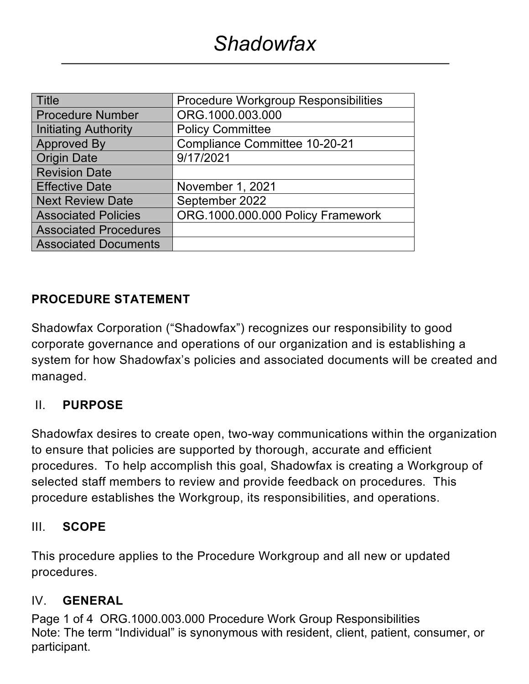| <b>Title</b>                 | Procedure Workgroup Responsibilities |  |
|------------------------------|--------------------------------------|--|
| <b>Procedure Number</b>      | ORG.1000.003.000                     |  |
| <b>Initiating Authority</b>  | <b>Policy Committee</b>              |  |
| <b>Approved By</b>           | <b>Compliance Committee 10-20-21</b> |  |
| <b>Origin Date</b>           | 9/17/2021                            |  |
| <b>Revision Date</b>         |                                      |  |
| <b>Effective Date</b>        | November 1, 2021                     |  |
| <b>Next Review Date</b>      | September 2022                       |  |
| <b>Associated Policies</b>   | ORG.1000.000.000 Policy Framework    |  |
| <b>Associated Procedures</b> |                                      |  |
| <b>Associated Documents</b>  |                                      |  |

### **PROCEDURE STATEMENT**

Shadowfax Corporation ("Shadowfax") recognizes our responsibility to good corporate governance and operations of our organization and is establishing a system for how Shadowfax's policies and associated documents will be created and managed.

### II. **PURPOSE**

Shadowfax desires to create open, two-way communications within the organization to ensure that policies are supported by thorough, accurate and efficient procedures. To help accomplish this goal, Shadowfax is creating a Workgroup of selected staff members to review and provide feedback on procedures. This procedure establishes the Workgroup, its responsibilities, and operations.

#### III. **SCOPE**

This procedure applies to the Procedure Workgroup and all new or updated procedures.

#### IV. **GENERAL**

Page 1 of 4 ORG.1000.003.000 Procedure Work Group Responsibilities Note: The term "Individual" is synonymous with resident, client, patient, consumer, or participant.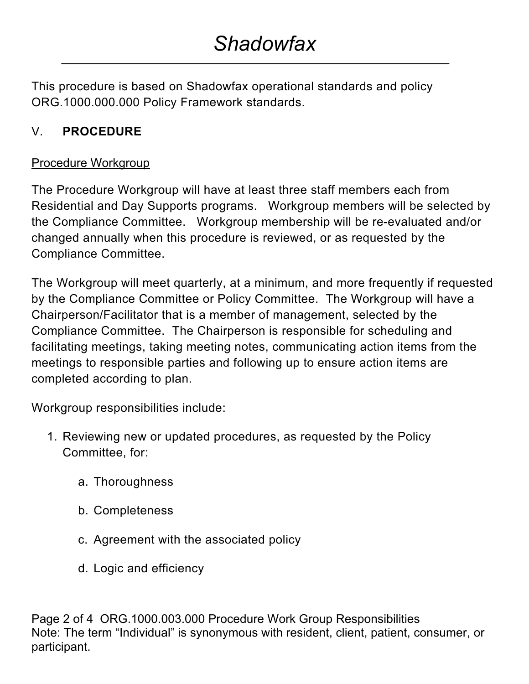This procedure is based on Shadowfax operational standards and policy ORG.1000.000.000 Policy Framework standards.

# V. **PROCEDURE**

### Procedure Workgroup

The Procedure Workgroup will have at least three staff members each from Residential and Day Supports programs. Workgroup members will be selected by the Compliance Committee. Workgroup membership will be re-evaluated and/or changed annually when this procedure is reviewed, or as requested by the Compliance Committee.

The Workgroup will meet quarterly, at a minimum, and more frequently if requested by the Compliance Committee or Policy Committee. The Workgroup will have a Chairperson/Facilitator that is a member of management, selected by the Compliance Committee. The Chairperson is responsible for scheduling and facilitating meetings, taking meeting notes, communicating action items from the meetings to responsible parties and following up to ensure action items are completed according to plan.

Workgroup responsibilities include:

- 1. Reviewing new or updated procedures, as requested by the Policy Committee, for:
	- a. Thoroughness
	- b. Completeness
	- c. Agreement with the associated policy
	- d. Logic and efficiency

Page 2 of 4 ORG.1000.003.000 Procedure Work Group Responsibilities Note: The term "Individual" is synonymous with resident, client, patient, consumer, or participant.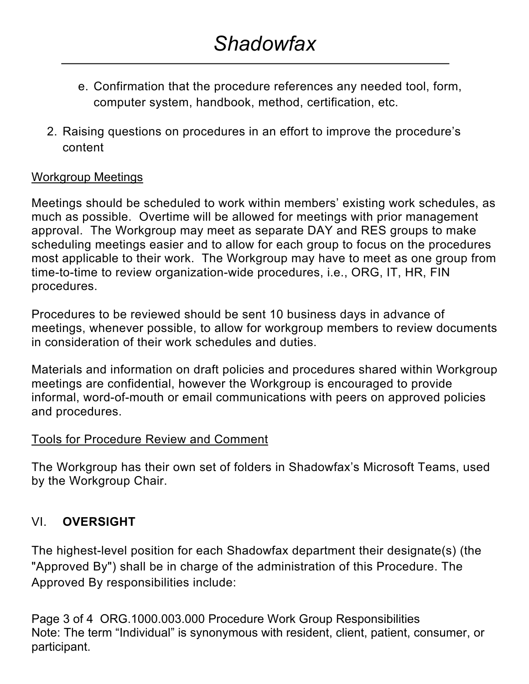- e. Confirmation that the procedure references any needed tool, form, computer system, handbook, method, certification, etc.
- 2. Raising questions on procedures in an effort to improve the procedure's content

### Workgroup Meetings

Meetings should be scheduled to work within members' existing work schedules, as much as possible. Overtime will be allowed for meetings with prior management approval. The Workgroup may meet as separate DAY and RES groups to make scheduling meetings easier and to allow for each group to focus on the procedures most applicable to their work. The Workgroup may have to meet as one group from time-to-time to review organization-wide procedures, i.e., ORG, IT, HR, FIN procedures.

Procedures to be reviewed should be sent 10 business days in advance of meetings, whenever possible, to allow for workgroup members to review documents in consideration of their work schedules and duties.

Materials and information on draft policies and procedures shared within Workgroup meetings are confidential, however the Workgroup is encouraged to provide informal, word-of-mouth or email communications with peers on approved policies and procedures.

#### Tools for Procedure Review and Comment

The Workgroup has their own set of folders in Shadowfax's Microsoft Teams, used by the Workgroup Chair.

## VI. **OVERSIGHT**

The highest-level position for each Shadowfax department their designate(s) (the "Approved By") shall be in charge of the administration of this Procedure. The Approved By responsibilities include:

Page 3 of 4 ORG.1000.003.000 Procedure Work Group Responsibilities Note: The term "Individual" is synonymous with resident, client, patient, consumer, or participant.